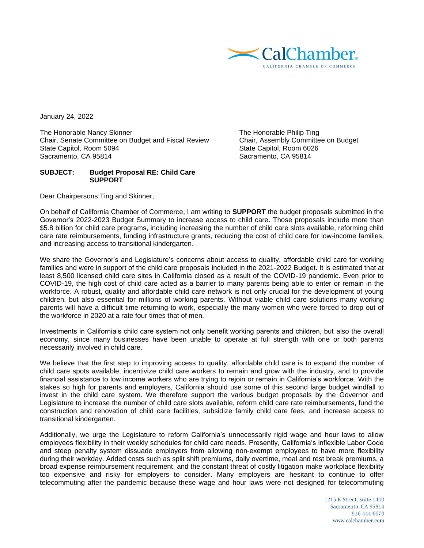

January 24, 2022

The Honorable Nancy Skinner<br>
Chair, Senate Committee on Budget and Fiscal Review Chair, Assembly Committee on Budget Chair, Senate Committee on Budget and Fiscal Review State Capitol, Room 5094 State Capitol, Room 6026 Sacramento, CA 95814 Sacramento, CA 95814

## **SUBJECT: Budget Proposal RE: Child Care SUPPORT**

Dear Chairpersons Ting and Skinner,

On behalf of California Chamber of Commerce, I am writing to **SUPPORT** the budget proposals submitted in the Governor's 2022-2023 Budget Summary to increase access to child care. Those proposals include more than \$5.8 billion for child care programs, including increasing the number of child care slots available, reforming child care rate reimbursements, funding infrastructure grants, reducing the cost of child care for low-income families, and increasing access to transitional kindergarten.

We share the Governor's and Legislature's concerns about access to quality, affordable child care for working families and were in support of the child care proposals included in the 2021-2022 Budget. It is estimated that at least 8,500 licensed child care sites in California closed as a result of the COVID-19 pandemic. Even prior to COVID-19, the high cost of child care acted as a barrier to many parents being able to enter or remain in the workforce. A robust, quality and affordable child care network is not only crucial for the development of young children, but also essential for millions of working parents. Without viable child care solutions many working parents will have a difficult time returning to work, especially the many women who were forced to drop out of the workforce in 2020 at a rate four times that of men.

Investments in California's child care system not only benefit working parents and children, but also the overall economy, since many businesses have been unable to operate at full strength with one or both parents necessarily involved in child care.

We believe that the first step to improving access to quality, affordable child care is to expand the number of child care spots available, incentivize child care workers to remain and grow with the industry, and to provide financial assistance to low income workers who are trying to rejoin or remain in California's workforce. With the stakes so high for parents and employers, California should use some of this second large budget windfall to invest in the child care system. We therefore support the various budget proposals by the Governor and Legislature to increase the number of child care slots available, reform child care rate reimbursements, fund the construction and renovation of child care facilities, subsidize family child care fees, and increase access to transitional kindergarten.

Additionally, we urge the Legislature to reform California's unnecessarily rigid wage and hour laws to allow employees flexibility in their weekly schedules for child care needs. Presently, California's inflexible Labor Code and steep penalty system dissuade employers from allowing non-exempt employees to have more flexibility during their workday. Added costs such as split shift premiums, daily overtime, meal and rest break premiums, a broad expense reimbursement requirement, and the constant threat of costly litigation make workplace flexibility too expensive and risky for employers to consider. Many employers are hesitant to continue to offer telecommuting after the pandemic because these wage and hour laws were not designed for telecommuting